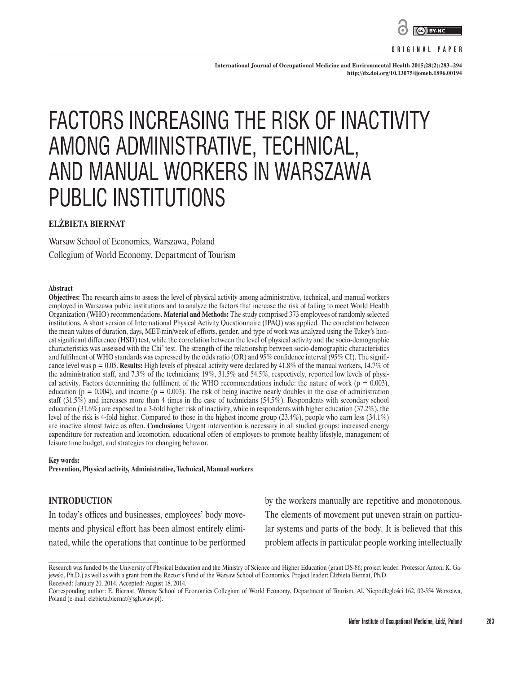

#### **ORIGINAL PAPER**

**International Journal of Occupational Medicine and Environmental Health 2015;28(2):283–294 <http://dx.doi.org/10.13075/ijomeh.1896.00194>**

# FACTORS INCREASING THE RISK OF INACTIVITY AMONG ADMINISTRATIVE, TECHNICAL, AND MANUAL WORKERS IN WARSZAWA PUBLIC INSTITUTIONS

# **ELŻBIETA BIERNAT**

Warsaw School of Economics, Warszawa, Poland Collegium of World Economy, Department of Tourism

#### **Abstract**

**Objectives:** The research aims to assess the level of physical activity among administrative, technical, and manual workers employed in Warszawa public institutions and to analyze the factors that increase the risk of failing to meet World Health Organization (WHO) recommendations. **Material and Methods:** The study comprised 373 employees of randomly selected institutions. A short version of International Physical Activity Questionnaire (IPAQ) was applied. The correlation between the mean values of duration, days, MET-min/week of efforts, gender, and type of work was analyzed using the Tukey's honest significant difference (HSD) test, while the correlation between the level of physical activity and the socio-demographic characteristics was assessed with the Chi<sup>2</sup> test. The strength of the relationship between socio-demographic characteristics and fulfilment of WHO standards was expressed by the odds ratio (OR) and 95% confidence interval (95% CI). The significance level was  $p = 0.05$ . **Results:** High levels of physical activity were declared by 41.8% of the manual workers, 14.7% of the administration staff, and 7.3% of the technicians; 19%, 31.5% and 54.5%, respectively, reported low levels of physical activity. Factors determining the fulfilment of the WHO recommendations include: the nature of work ( $p = 0.003$ ), education ( $p = 0.004$ ), and income ( $p = 0.003$ ). The risk of being inactive nearly doubles in the case of administration staff (31.5%) and increases more than 4 times in the case of technicians (54.5%). Respondents with secondary school education (31.6%) are exposed to a 3-fold higher risk of inactivity, while in respondents with higher education (37.2%), the level of the risk is 4-fold higher. Compared to those in the highest income group (23.4%), people who earn less (34.1%) are inactive almost twice as often. **Conclusions:** Urgent intervention is necessary in all studied groups: increased energy expenditure for recreation and locomotion, educational offers of employers to promote healthy lifestyle, management of leisure time budget, and strategies for changing behavior.

#### **Key words:**

**Prevention, Physical activity, Administrative, Technical, Manual workers**

### **INTRODUCTION**

In today's offices and businesses, employees' body movements and physical effort has been almost entirely eliminated, while the operations that continue to be performed by the workers manually are repetitive and monotonous. The elements of movement put uneven strain on particular systems and parts of the body. It is believed that this problem affects in particular people working intellectually

Research was funded by the University of Physical Education and the Ministry of Science and Higher Education (grant DS-86; project leader: Professor Antoni K. Gajewski, Ph.D.) as well as with a grant from the Rector's Fund of the Warsaw School of Economics. Project leader: Elżbieta Biernat, Ph.D. Received: January 20, 2014. Accepted: August 18, 2014.

Corresponding author: E. Biernat, Warsaw School of Economics Collegium of World Economy, Department of Tourism, Al. Niepodleglości 162, 02-554 Warszawa, Poland (e-mail: [elzbieta.biernat@sgh.waw.pl\)](mailto:elzbieta.biernat@sgh.waw.pl).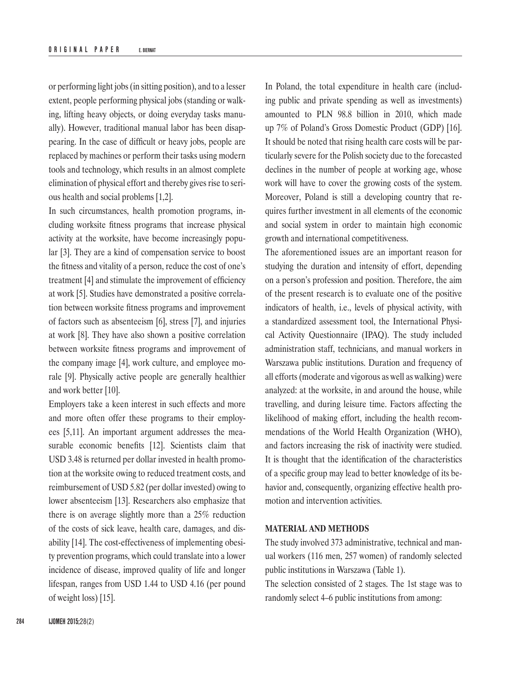or performing light jobs (in sitting position), and to a lesser extent, people performing physical jobs (standing or walking, lifting heavy objects, or doing everyday tasks manually). However, traditional manual labor has been disappearing. In the case of difficult or heavy jobs, people are replaced by machines or perform their tasks using modern tools and technology, which results in an almost complete elimination of physical effort and thereby gives rise to serious health and social problems [1,2].

In such circumstances, health promotion programs, including worksite fitness programs that increase physical activity at the worksite, have become increasingly popular [3]. They are a kind of compensation service to boost the fitness and vitality of a person, reduce the cost of one's treatment [4] and stimulate the improvement of efficiency at work [5]. Studies have demonstrated a positive correlation between worksite fitness programs and improvement of factors such as absenteeism [6], stress [7], and injuries at work [8]. They have also shown a positive correlation between worksite fitness programs and improvement of the company image [4], work culture, and employee morale [9]. Physically active people are generally healthier and work better [10].

Employers take a keen interest in such effects and more and more often offer these programs to their employees [5,11]. An important argument addresses the measurable economic benefits [12]. Scientists claim that USD 3.48 is returned per dollar invested in health promotion at the worksite owing to reduced treatment costs, and reimbursement of USD 5.82 (per dollar invested) owing to lower absenteeism [13]. Researchers also emphasize that there is on average slightly more than a 25% reduction of the costs of sick leave, health care, damages, and disability [14]. The cost-effectiveness of implementing obesity prevention programs, which could translate into a lower incidence of disease, improved quality of life and longer lifespan, ranges from USD 1.44 to USD 4.16 (per pound of weight loss) [15].

In Poland, the total expenditure in health care (including public and private spending as well as investments) amounted to PLN 98.8 billion in 2010, which made up 7% of Poland's Gross Domestic Product (GDP) [16]. It should be noted that rising health care costs will be particularly severe for the Polish society due to the forecasted declines in the number of people at working age, whose work will have to cover the growing costs of the system. Moreover, Poland is still a developing country that requires further investment in all elements of the economic and social system in order to maintain high economic growth and international competitiveness.

The aforementioned issues are an important reason for studying the duration and intensity of effort, depending on a person's profession and position. Therefore, the aim of the present research is to evaluate one of the positive indicators of health, i.e., levels of physical activity, with a standardized assessment tool, the International Physical Activity Questionnaire (IPAQ). The study included administration staff, technicians, and manual workers in Warszawa public institutions. Duration and frequency of all efforts (moderate and vigorous as well as walking) were analyzed: at the worksite, in and around the house, while travelling, and during leisure time. Factors affecting the likelihood of making effort, including the health recommendations of the World Health Organization (WHO), and factors increasing the risk of inactivity were studied. It is thought that the identification of the characteristics of a specific group may lead to better knowledge of its behavior and, consequently, organizing effective health promotion and intervention activities.

# **MATERIAL AND METHODS**

The study involved 373 administrative, technical and manual workers (116 men, 257 women) of randomly selected public institutions in Warszawa (Table 1).

The selection consisted of 2 stages. The 1st stage was to randomly select 4–6 public institutions from among: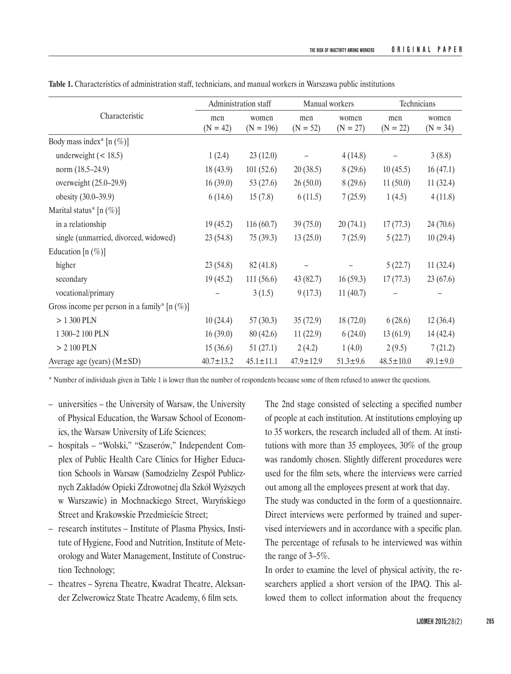| Characteristic                                  | Administration staff |                      | Manual workers    |                     | Technicians       |                     |
|-------------------------------------------------|----------------------|----------------------|-------------------|---------------------|-------------------|---------------------|
|                                                 | men<br>$(N = 42)$    | women<br>$(N = 196)$ | men<br>$(N = 52)$ | women<br>$(N = 27)$ | men<br>$(N = 22)$ | women<br>$(N = 34)$ |
| Body mass index <sup>*</sup> [n $(\%)$ ]        |                      |                      |                   |                     |                   |                     |
| underweight $(< 18.5)$                          | 1(2.4)               | 23(12.0)             |                   | 4(14.8)             |                   | 3(8.8)              |
| norm (18.5–24.9)                                | 18(43.9)             | 101(52.6)            | 20(38.5)          | 8(29.6)             | 10(45.5)          | 16(47.1)            |
| overweight (25.0–29.9)                          | 16(39.0)             | 53 $(27.6)$          | 26(50.0)          | 8(29.6)             | 11(50.0)          | 11(32.4)            |
| obesity (30.0–39.9)                             | 6(14.6)              | 15(7.8)              | 6(11.5)           | 7(25.9)             | 1(4.5)            | 4(11.8)             |
| Marital status* $[n (\%)]$                      |                      |                      |                   |                     |                   |                     |
| in a relationship                               | 19(45.2)             | 116(60.7)            | 39(75.0)          | 20(74.1)            | 17(77.3)          | 24(70.6)            |
| single (unmarried, divorced, widowed)           | 23(54.8)             | 75(39.3)             | 13(25.0)          | 7(25.9)             | 5(22.7)           | 10(29.4)            |
| Education [n $(\%)$ ]                           |                      |                      |                   |                     |                   |                     |
| higher                                          | 23(54.8)             | 82(41.8)             |                   |                     | 5(22.7)           | 11(32.4)            |
| secondary                                       | 19(45.2)             | 111(56.6)            | 43(82.7)          | 16(59.3)            | 17(77.3)          | 23(67.6)            |
| vocational/primary                              |                      | 3(1.5)               | 9(17.3)           | 11(40.7)            |                   |                     |
| Gross income per person in a family* $[n (\%)]$ |                      |                      |                   |                     |                   |                     |
| $> 1300$ PLN                                    | 10(24.4)             | 57(30.3)             | 35(72.9)          | 18(72.0)            | 6(28.6)           | 12(36.4)            |
| 1 300-2 100 PLN                                 | 16(39.0)             | 80(42.6)             | 11(22.9)          | 6(24.0)             | 13(61.9)          | 14(42.4)            |
| $> 2100$ PLN                                    | 15(36.6)             | 51(27.1)             | 2(4.2)            | 1(4.0)              | 2(9.5)            | 7(21.2)             |
| Average age (years) $(M \pm SD)$                | $40.7 \pm 13.2$      | $45.1 \pm 11.1$      | $47.9 \pm 12.9$   | $51.3 \pm 9.6$      | $48.5 \pm 10.0$   | $49.1 \pm 9.0$      |

**Table 1.** Characteristics of administration staff, technicians, and manual workers in Warszawa public institutions

\* Number of individuals given in Table 1 is lower than the number of respondents because some of them refused to answer the questions.

- universities the University of Warsaw, the University of Physical Education, the Warsaw School of Economics, the Warsaw University of Life Sciences;
- hospitals "Wolski," "Szaserów," Independent Complex of Public Health Care Clinics for Higher Education Schools in Warsaw (Samodzielny Zespół Publicznych Zakładów Opieki Zdrowotnej dla Szkół Wyższych w Warszawie) in Mochnackiego Street, Waryńskiego Street and Krakowskie Przedmieście Street;
- research institutes Institute of Plasma Physics, Institute of Hygiene, Food and Nutrition, Institute of Meteorology and Water Management, Institute of Construction Technology;
- theatres Syrena Theatre, Kwadrat Theatre, Aleksander Zelwerowicz State Theatre Academy, 6 film sets.

The 2nd stage consisted of selecting a specified number of people at each institution. At institutions employing up to 35 workers, the research included all of them. At institutions with more than 35 employees, 30% of the group was randomly chosen. Slightly different procedures were used for the film sets, where the interviews were carried out among all the employees present at work that day.

The study was conducted in the form of a questionnaire. Direct interviews were performed by trained and supervised interviewers and in accordance with a specific plan. The percentage of refusals to be interviewed was within the range of 3–5%.

In order to examine the level of physical activity, the researchers applied a short version of the IPAQ. This allowed them to collect information about the frequency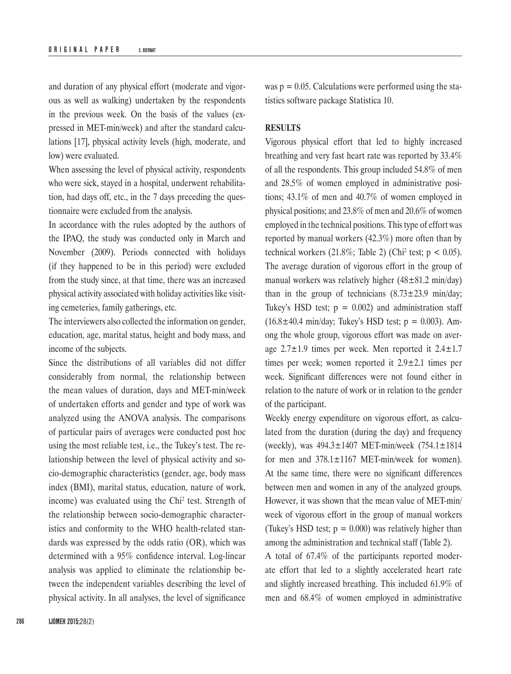and duration of any physical effort (moderate and vigorous as well as walking) undertaken by the respondents in the previous week. On the basis of the values (expressed in MET-min/week) and after the standard calculations [17], physical activity levels (high, moderate, and low) were evaluated.

When assessing the level of physical activity, respondents who were sick, stayed in a hospital, underwent rehabilitation, had days off, etc., in the 7 days preceding the questionnaire were excluded from the analysis.

In accordance with the rules adopted by the authors of the IPAQ, the study was conducted only in March and November (2009). Periods connected with holidays (if they happened to be in this period) were excluded from the study since, at that time, there was an increased physical activity associated with holiday activities like visiting cemeteries, family gatherings, etc.

The interviewers also collected the information on gender, education, age, marital status, height and body mass, and income of the subjects.

Since the distributions of all variables did not differ considerably from normal, the relationship between the mean values of duration, days and MET-min/week of undertaken efforts and gender and type of work was analyzed using the ANOVA analysis. The comparisons of particular pairs of averages were conducted post hoc using the most reliable test, i.e., the Tukey's test. The relationship between the level of physical activity and socio-demographic characteristics (gender, age, body mass index (BMI), marital status, education, nature of work, income) was evaluated using the Chi<sup>2</sup> test. Strength of the relationship between socio-demographic characteristics and conformity to the WHO health-related standards was expressed by the odds ratio (OR), which was determined with a 95% confidence interval. Log-linear analysis was applied to eliminate the relationship between the independent variables describing the level of physical activity. In all analyses, the level of significance

was  $p = 0.05$ . Calculations were performed using the statistics software package Statistica 10.

## **RESULTS**

Vigorous physical effort that led to highly increased breathing and very fast heart rate was reported by 33.4% of all the respondents. This group included 54.8% of men and 28.5% of women employed in administrative positions; 43.1% of men and 40.7% of women employed in physical positions; and 23.8% of men and 20.6% of women employed in the technical positions. This type of effort was reported by manual workers (42.3%) more often than by technical workers  $(21.8\%; \text{ Table 2})$  (Chi<sup>2</sup> test;  $p < 0.05$ ). The average duration of vigorous effort in the group of manual workers was relatively higher  $(48\pm81.2 \text{ min/day})$ than in the group of technicians  $(8.73 \pm 23.9 \text{ min/day})$ Tukey's HSD test;  $p = 0.002$ ) and administration staff  $(16.8 \pm 40.4 \text{ min/day};$  Tukey's HSD test;  $p = 0.003$ ). Among the whole group, vigorous effort was made on average  $2.7\pm1.9$  times per week. Men reported it  $2.4\pm1.7$ times per week; women reported it 2.9±2.1 times per week. Significant differences were not found either in relation to the nature of work or in relation to the gender of the participant.

Weekly energy expenditure on vigorous effort, as calculated from the duration (during the day) and frequency (weekly), was 494.3±1407 MET-min/week (754.1±1814 for men and  $378.1 \pm 1167$  MET-min/week for women). At the same time, there were no significant differences between men and women in any of the analyzed groups. However, it was shown that the mean value of MET-min/ week of vigorous effort in the group of manual workers (Tukey's HSD test;  $p = 0.000$ ) was relatively higher than among the administration and technical staff (Table 2).

A total of 67.4% of the participants reported moderate effort that led to a slightly accelerated heart rate and slightly increased breathing. This included 61.9% of men and 68.4% of women employed in administrative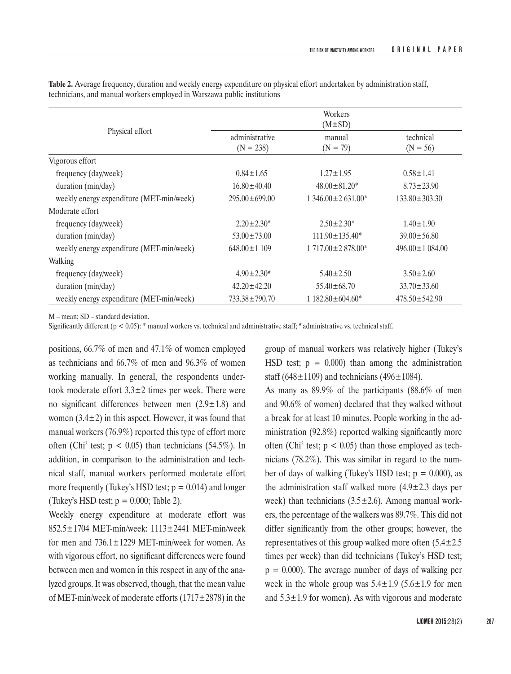|                                          | Workers<br>$(M \pm SD)$       |                          |                         |  |  |  |
|------------------------------------------|-------------------------------|--------------------------|-------------------------|--|--|--|
| Physical effort                          | administrative<br>$(N = 238)$ | manual<br>$(N = 79)$     | technical<br>$(N = 56)$ |  |  |  |
| Vigorous effort                          |                               |                          |                         |  |  |  |
| frequency (day/week)                     | $0.84 \pm 1.65$               | $1.27 \pm 1.95$          | $0.58 \pm 1.41$         |  |  |  |
| duration (min/day)                       | $16.80 \pm 40.40$             | $48.00 \pm 81.20*$       | $8.73 \pm 23.90$        |  |  |  |
| weekly energy expenditure (MET-min/week) | $295.00 \pm 699.00$           | $1.346.00 \pm 2.631.00*$ | $133.80 \pm 303.30$     |  |  |  |
| Moderate effort                          |                               |                          |                         |  |  |  |
| frequency (day/week)                     | $2.20 \pm 2.30^{\#}$          | $2.50 \pm 2.30^*$        | $1.40 \pm 1.90$         |  |  |  |
| duration (min/day)                       | $53.00 \pm 73.00$             | $111.90 \pm 135.40^*$    | $39.00 \pm 56.80$       |  |  |  |
| weekly energy expenditure (MET-min/week) | $648.00 \pm 1109$             | $1717.00 \pm 2878.00*$   | $496.00 \pm 1084.00$    |  |  |  |
| Walking                                  |                               |                          |                         |  |  |  |
| frequency (day/week)                     | $4.90 \pm 2.30^{\#}$          | $5.40 \pm 2.50$          | $3.50 + 2.60$           |  |  |  |
| duration (min/day)                       | $42.20 \pm 42.20$             | $55.40 \pm 68.70$        | $33.70 \pm 33.60$       |  |  |  |
| weekly energy expenditure (MET-min/week) | $733.38 \pm 790.70$           | 1 182.80 ± 604.60*       | $478.50 \pm 542.90$     |  |  |  |

**Table 2.** Average frequency, duration and weekly energy expenditure on physical effort undertaken by administration staff, technicians, and manual workers employed in Warszawa public institutions

M – mean; SD – standard deviation.

Significantly different ( $p < 0.05$ ):  $*$  manual workers vs. technical and administrative staff;  $*$  administrative vs. technical staff.

positions, 66.7% of men and 47.1% of women employed as technicians and 66.7% of men and 96.3% of women working manually. In general, the respondents undertook moderate effort  $3.3\pm 2$  times per week. There were no significant differences between men  $(2.9 \pm 1.8)$  and women  $(3.4\pm 2)$  in this aspect. However, it was found that manual workers (76.9%) reported this type of effort more often (Chi<sup>2</sup> test;  $p < 0.05$ ) than technicians (54.5%). In addition, in comparison to the administration and technical staff, manual workers performed moderate effort more frequently (Tukey's HSD test;  $p = 0.014$ ) and longer (Tukey's HSD test;  $p = 0.000$ ; Table 2).

Weekly energy expenditure at moderate effort was 852.5±1704 MET-min/week: 1113±2441 MET-min/week for men and 736.1±1229 MET-min/week for women. As with vigorous effort, no significant differences were found between men and women in this respect in any of the analyzed groups. It was observed, though, that the mean value of MET-min/week of moderate efforts  $(1717 \pm 2878)$  in the

group of manual workers was relatively higher (Tukey's HSD test;  $p = 0.000$  than among the administration staff (648 $\pm$ 1109) and technicians (496 $\pm$ 1084).

As many as 89.9% of the participants (88.6% of men and 90.6% of women) declared that they walked without a break for at least 10 minutes. People working in the administration (92.8%) reported walking significantly more often (Chi<sup>2</sup> test;  $p < 0.05$ ) than those employed as technicians (78.2%). This was similar in regard to the number of days of walking (Tukey's HSD test;  $p = 0.000$ ), as the administration staff walked more  $(4.9 \pm 2.3$  days per week) than technicians  $(3.5 \pm 2.6)$ . Among manual workers, the percentage of the walkers was 89.7%. This did not differ significantly from the other groups; however, the representatives of this group walked more often  $(5.4 \pm 2.5)$ times per week) than did technicians (Tukey's HSD test;  $p = 0.000$ . The average number of days of walking per week in the whole group was  $5.4 \pm 1.9$  ( $5.6 \pm 1.9$  for men and  $5.3\pm1.9$  for women). As with vigorous and moderate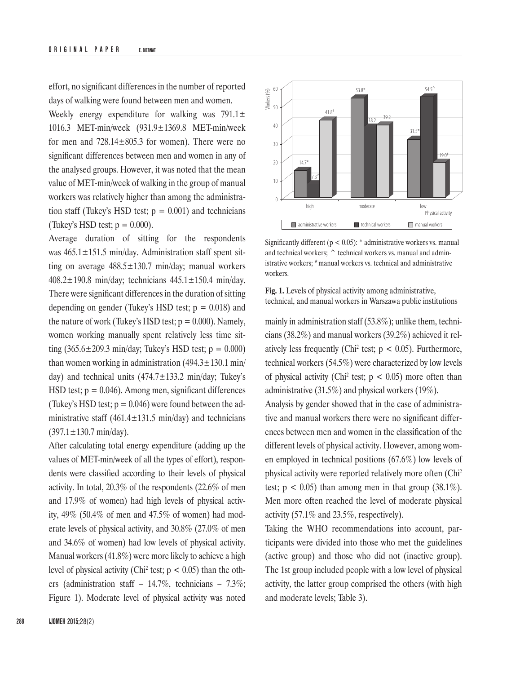effort, no significant differences in the number of reported days of walking were found between men and women.

Weekly energy expenditure for walking was  $791.1 \pm$ 1016.3 MET-min/week (931.9±1369.8 MET-min/week for men and  $728.14 \pm 805.3$  for women). There were no significant differences between men and women in any of the analysed groups. However, it was noted that the mean value of MET-min/week of walking in the group of manual workers was relatively higher than among the administration staff (Tukey's HSD test;  $p = 0.001$ ) and technicians (Tukey's HSD test;  $p = 0.000$ ).

Average duration of sitting for the respondents was  $465.1 \pm 151.5$  min/day. Administration staff spent sitting on average  $488.5 \pm 130.7$  min/day; manual workers 408.2±190.8 min/day; technicians 445.1±150.4 min/day. There were significant differences in the duration of sitting depending on gender (Tukey's HSD test;  $p = 0.018$ ) and the nature of work (Tukey's HSD test;  $p = 0.000$ ). Namely, women working manually spent relatively less time sitting  $(365.6 \pm 209.3 \text{ min/day}$ ; Tukey's HSD test;  $p = 0.000$ ) than women working in administration  $(494.3 \pm 130.1 \text{ min/}$ day) and technical units (474.7±133.2 min/day; Tukey's HSD test;  $p = 0.046$ ). Among men, significant differences (Tukey's HSD test;  $p = 0.046$ ) were found between the administrative staff (461.4 $\pm$ 131.5 min/day) and technicians  $(397.1 \pm 130.7 \text{ min/day}).$ 

After calculating total energy expenditure (adding up the values of MET-min/week of all the types of effort), respondents were classified according to their levels of physical activity. In total, 20.3% of the respondents (22.6% of men and 17.9% of women) had high levels of physical activity, 49% (50.4% of men and 47.5% of women) had moderate levels of physical activity, and 30.8% (27.0% of men and 34.6% of women) had low levels of physical activity. Manual workers (41.8%) were more likely to achieve a high level of physical activity (Chi<sup>2</sup> test;  $p < 0.05$ ) than the others (administration staff – 14.7%, technicians – 7.3%; Figure 1). Moderate level of physical activity was noted



Significantly different ( $p < 0.05$ ):  $*$  administrative workers vs. manual and technical workers; ^ technical workers vs. manual and administrative workers; # manual workers vs. technical and administrative workers.

**Fig. 1.** Levels of physical activity among administrative, technical, and manual workers in Warszawa public institutions

mainly in administration staff (53.8%); unlike them, technicians (38.2%) and manual workers (39.2%) achieved it relatively less frequently (Chi<sup>2</sup> test;  $p < 0.05$ ). Furthermore, technical workers (54.5%) were characterized by low levels of physical activity (Chi<sup>2</sup> test;  $p < 0.05$ ) more often than administrative (31.5%) and physical workers (19%).

Analysis by gender showed that in the case of administrative and manual workers there were no significant differences between men and women in the classification of the different levels of physical activity. However, among women employed in technical positions (67.6%) low levels of physical activity were reported relatively more often (Chi2 test;  $p < 0.05$ ) than among men in that group (38.1%). Men more often reached the level of moderate physical activity (57.1% and 23.5%, respectively).

Taking the WHO recommendations into account, participants were divided into those who met the guidelines (active group) and those who did not (inactive group). The 1st group included people with a low level of physical activity, the latter group comprised the others (with high and moderate levels; Table 3).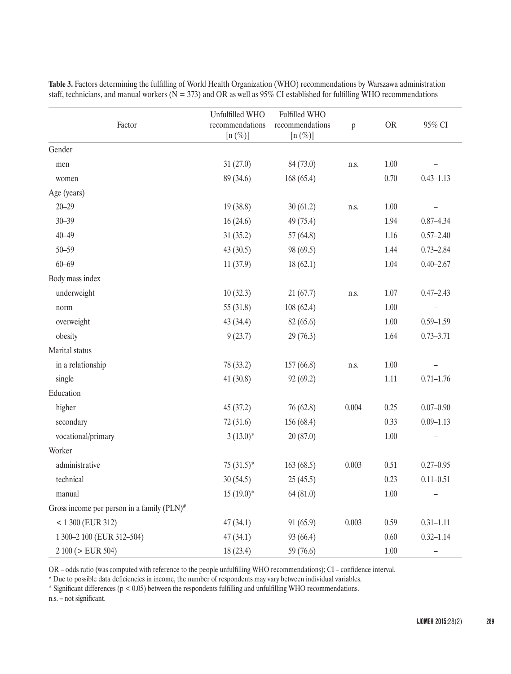| Factor                                        | Unfulfilled WHO<br>recommendations<br>$[n \, (\%)]$ | Fulfilled WHO<br>recommendations<br>$[n (\%)]$ | $\mathbf{p}$ | <b>OR</b> | 95% CI                   |
|-----------------------------------------------|-----------------------------------------------------|------------------------------------------------|--------------|-----------|--------------------------|
| Gender                                        |                                                     |                                                |              |           |                          |
| men                                           | 31(27.0)                                            | 84 (73.0)                                      | n.s.         | 1.00      |                          |
| women                                         | 89 (34.6)                                           | 168(65.4)                                      |              | 0.70      | $0.43 - 1.13$            |
| Age (years)                                   |                                                     |                                                |              |           |                          |
| $20 - 29$                                     | 19 (38.8)                                           | 30(61.2)                                       | n.s.         | $1.00\,$  |                          |
| $30 - 39$                                     | 16(24.6)                                            | 49 (75.4)                                      |              | 1.94      | $0.87 - 4.34$            |
| $40 - 49$                                     | 31(35.2)                                            | 57(64.8)                                       |              | 1.16      | $0.57 - 2.40$            |
| $50 - 59$                                     | 43(30.5)                                            | 98 (69.5)                                      |              | 1.44      | $0.73 - 2.84$            |
| $60 - 69$                                     | 11(37.9)                                            | 18(62.1)                                       |              | 1.04      | $0.40 - 2.67$            |
| Body mass index                               |                                                     |                                                |              |           |                          |
| underweight                                   | 10(32.3)                                            | 21(67.7)                                       | n.s.         | 1.07      | $0.47 - 2.43$            |
| norm                                          | 55 (31.8)                                           | 108(62.4)                                      |              | $1.00\,$  |                          |
| overweight                                    | 43 (34.4)                                           | 82 (65.6)                                      |              | $1.00\,$  | $0.59 - 1.59$            |
| obesity                                       | 9(23.7)                                             | 29(76.3)                                       |              | 1.64      | $0.73 - 3.71$            |
| Marital status                                |                                                     |                                                |              |           |                          |
| in a relationship                             | 78 (33.2)                                           | 157(66.8)                                      | n.s.         | $1.00\,$  |                          |
| single                                        | 41(30.8)                                            | 92(69.2)                                       |              | $1.11\,$  | $0.71 - 1.76$            |
| Education                                     |                                                     |                                                |              |           |                          |
| higher                                        | 45 (37.2)                                           | 76 (62.8)                                      | 0.004        | 0.25      | $0.07 - 0.90$            |
| secondary                                     | 72(31.6)                                            | 156 (68.4)                                     |              | 0.33      | $0.09 - 1.13$            |
| vocational/primary                            | $3(13.0)*$                                          | 20(87.0)                                       |              | $1.00\,$  |                          |
| Worker                                        |                                                     |                                                |              |           |                          |
| administrative                                | $75(31.5)^*$                                        | 163(68.5)                                      | 0.003        | 0.51      | $0.27 - 0.95$            |
| technical                                     | 30(54.5)                                            | 25(45.5)                                       |              | 0.23      | $0.11 - 0.51$            |
| manual                                        | $15(19.0)$ *                                        | 64 (81.0)                                      |              | $1.00\,$  |                          |
| Gross income per person in a family $(PLN)^*$ |                                                     |                                                |              |           |                          |
| $< 1300$ (EUR 312)                            | 47(34.1)                                            | 91(65.9)                                       | 0.003        | 0.59      | $0.31 - 1.11$            |
| 1 300-2 100 (EUR 312-504)                     | 47(34.1)                                            | 93 (66.4)                                      |              | 0.60      | $0.32 - 1.14$            |
| $2100 (>$ EUR 504)                            | 18(23.4)                                            | 59 (76.6)                                      |              | $1.00\,$  | $\overline{\phantom{0}}$ |

**Table 3.** Factors determining the fulfilling of World Health Organization (WHO) recommendations by Warszawa administration staff, technicians, and manual workers ( $\overline{N} = 373$ ) and OR as well as 95% CI established for fulfilling WHO recommendations

OR – odds ratio (was computed with reference to the people unfulfilling WHO recommendations); CI – confidence interval.

# Due to possible data deficiencies in income, the number of respondents may vary between individual variables.

\* Significant differences (p < 0.05) between the respondents fulfilling and unfulfilling WHO recommendations.

n.s. – not significant.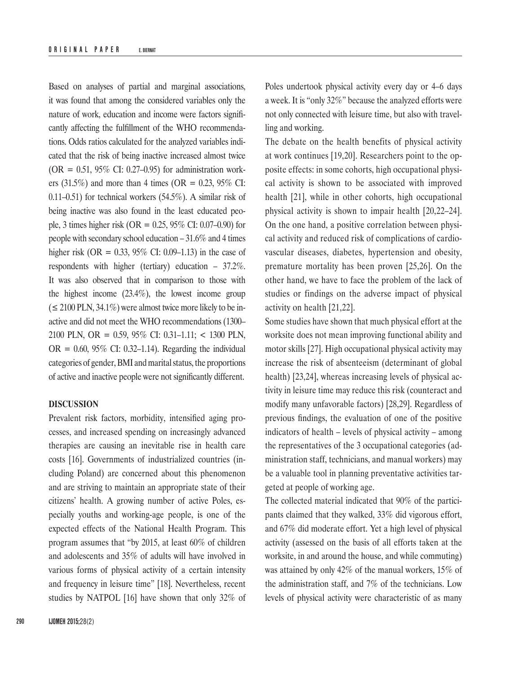Based on analyses of partial and marginal associations, it was found that among the considered variables only the nature of work, education and income were factors significantly affecting the fulfillment of the WHO recommendations. Odds ratios calculated for the analyzed variables indicated that the risk of being inactive increased almost twice  $(OR = 0.51, 95\% \text{ CI: } 0.27{\text{-}}0.95)$  for administration workers (31.5%) and more than 4 times (OR = 0.23, 95% CI: 0.11–0.51) for technical workers (54.5%). A similar risk of being inactive was also found in the least educated people, 3 times higher risk (OR = 0.25, 95% CI: 0.07–0.90) for people with secondary school education – 31.6% and 4 times higher risk (OR =  $0.33$ , 95% CI: 0.09–1.13) in the case of respondents with higher (tertiary) education – 37.2%. It was also observed that in comparison to those with the highest income (23.4%), the lowest income group  $( \leq 2100$  PLN, 34.1%) were almost twice more likely to be inactive and did not meet the WHO recommendations (1300– 2100 PLN, OR = 0.59, 95% CI: 0.31–1.11; < 1300 PLN,  $OR = 0.60$ , 95% CI: 0.32–1.14). Regarding the individual categories of gender,BMI and marital status, the proportions of active and inactive people were not significantly different.

## **DISCUSSION**

Prevalent risk factors, morbidity, intensified aging processes, and increased spending on increasingly advanced therapies are causing an inevitable rise in health care costs [16]. Governments of industrialized countries (including Poland) are concerned about this phenomenon and are striving to maintain an appropriate state of their citizens' health. A growing number of active Poles, especially youths and working-age people, is one of the expected effects of the National Health Program. This program assumes that "by 2015, at least 60% of children and adolescents and 35% of adults will have involved in various forms of physical activity of a certain intensity and frequency in leisure time" [18]. Nevertheless, recent studies by NATPOL [16] have shown that only 32% of

Poles undertook physical activity every day or 4–6 days a week. It is "only 32%" because the analyzed efforts were not only connected with leisure time, but also with travelling and working.

The debate on the health benefits of physical activity at work continues [19,20]. Researchers point to the opposite effects: in some cohorts, high occupational physical activity is shown to be associated with improved health [21], while in other cohorts, high occupational physical activity is shown to impair health [20,22–24]. On the one hand, a positive correlation between physical activity and reduced risk of complications of cardiovascular diseases, diabetes, hypertension and obesity, premature mortality has been proven [25,26]. On the other hand, we have to face the problem of the lack of studies or findings on the adverse impact of physical activity on health [21,22].

Some studies have shown that much physical effort at the worksite does not mean improving functional ability and motor skills [27]. High occupational physical activity may increase the risk of absenteeism (determinant of global health) [23,24], whereas increasing levels of physical activity in leisure time may reduce this risk (counteract and modify many unfavorable factors) [28,29]. Regardless of previous findings, the evaluation of one of the positive indicators of health – levels of physical activity – among the representatives of the 3 occupational categories (administration staff, technicians, and manual workers) may be a valuable tool in planning preventative activities targeted at people of working age.

The collected material indicated that 90% of the participants claimed that they walked, 33% did vigorous effort, and 67% did moderate effort. Yet a high level of physical activity (assessed on the basis of all efforts taken at the worksite, in and around the house, and while commuting) was attained by only 42% of the manual workers, 15% of the administration staff, and 7% of the technicians. Low levels of physical activity were characteristic of as many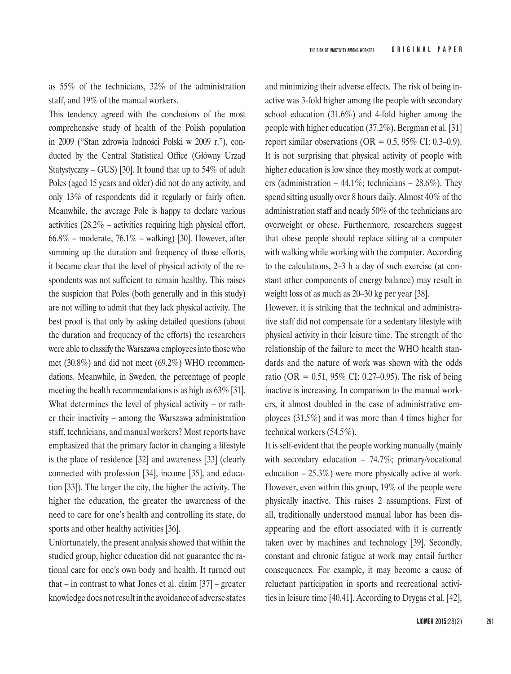as 55% of the technicians, 32% of the administration staff, and 19% of the manual workers.

This tendency agreed with the conclusions of the most comprehensive study of health of the Polish population in 2009 ("Stan zdrowia ludności Polski w 2009 r."), conducted by the Central Statistical Office (Główny Urząd Statystyczny – GUS) [30]. It found that up to 54% of adult Poles (aged 15 years and older) did not do any activity, and only 13% of respondents did it regularly or fairly often. Meanwhile, the average Pole is happy to declare various activities (28.2% – activities requiring high physical effort,  $66.8\%$  – moderate,  $76.1\%$  – walking) [30]. However, after summing up the duration and frequency of those efforts, it became clear that the level of physical activity of the respondents was not sufficient to remain healthy. This raises the suspicion that Poles (both generally and in this study) are not willing to admit that they lack physical activity. The best proof is that only by asking detailed questions (about the duration and frequency of the efforts) the researchers were able to classify the Warszawa employees into those who met (30.8%) and did not meet (69.2%) WHO recommendations. Meanwhile, in Sweden, the percentage of people meeting the health recommendations is as high as 63% [31]. What determines the level of physical activity – or rather their inactivity – among the Warszawa administration staff, technicians, and manual workers? Most reports have emphasized that the primary factor in changing a lifestyle is the place of residence [32] and awareness [33] (clearly connected with profession [34], income [35], and education [33]). The larger the city, the higher the activity. The higher the education, the greater the awareness of the need to care for one's health and controlling its state, do sports and other healthy activities [36].

Unfortunately, the present analysis showed that within the studied group, higher education did not guarantee the rational care for one's own body and health. It turned out that – in contrast to what Jones et al. claim [37] – greater knowledge does not result in the avoidance of adverse states and minimizing their adverse effects. The risk of being inactive was 3-fold higher among the people with secondary school education (31.6%) and 4-fold higher among the people with higher education (37.2%). Bergman et al. [31] report similar observations (OR =  $0.5$ , 95% CI: 0.3–0.9). It is not surprising that physical activity of people with higher education is low since they mostly work at computers (administration  $-44.1\%$ ; technicians  $-28.6\%$ ). They spend sitting usually over 8 hours daily. Almost 40% of the administration staff and nearly 50% of the technicians are overweight or obese. Furthermore, researchers suggest that obese people should replace sitting at a computer with walking while working with the computer. According to the calculations, 2–3 h a day of such exercise (at constant other components of energy balance) may result in weight loss of as much as 20–30 kg per year [38].

However, it is striking that the technical and administrative staff did not compensate for a sedentary lifestyle with physical activity in their leisure time. The strength of the relationship of the failure to meet the WHO health standards and the nature of work was shown with the odds ratio (OR =  $0.51$ , 95% CI: 0.27–0.95). The risk of being inactive is increasing. In comparison to the manual workers, it almost doubled in the case of administrative employees (31.5%) and it was more than 4 times higher for technical workers (54.5%).

It is self-evident that the people working manually (mainly with secondary education – 74.7%; primary/vocational education – 25.3%) were more physically active at work. However, even within this group, 19% of the people were physically inactive. This raises 2 assumptions. First of all, traditionally understood manual labor has been disappearing and the effort associated with it is currently taken over by machines and technology [39]. Secondly, constant and chronic fatigue at work may entail further consequences. For example, it may become a cause of reluctant participation in sports and recreational activities in leisure time [40,41]. According to Drygas et al. [42],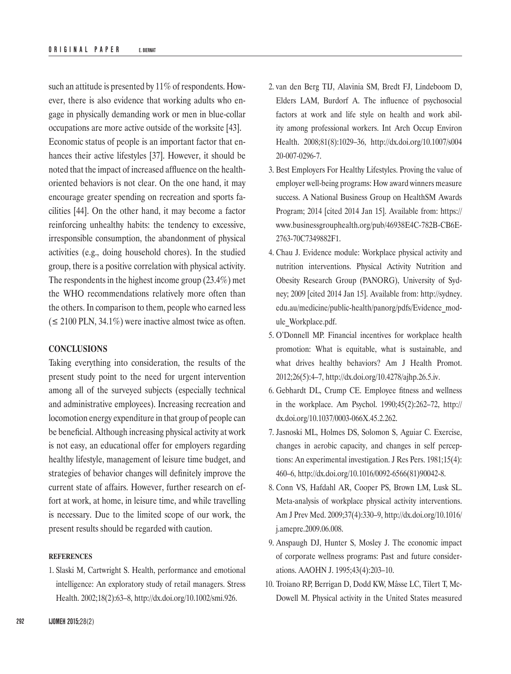such an attitude is presented by 11% of respondents. However, there is also evidence that working adults who engage in physically demanding work or men in blue-collar occupations are more active outside of the worksite [43]. Economic status of people is an important factor that enhances their active lifestyles [37]. However, it should be noted that the impact of increased affluence on the healthoriented behaviors is not clear. On the one hand, it may encourage greater spending on recreation and sports facilities [44]. On the other hand, it may become a factor reinforcing unhealthy habits: the tendency to excessive, irresponsible consumption, the abandonment of physical activities (e.g., doing household chores). In the studied group, there is a positive correlation with physical activity. The respondents in the highest income group (23.4%) met the WHO recommendations relatively more often than the others. In comparison to them, people who earned less  $($  ≤ 2100 PLN, 34.1%) were inactive almost twice as often.

## **CONCLUSIONS**

Taking everything into consideration, the results of the present study point to the need for urgent intervention among all of the surveyed subjects (especially technical and administrative employees). Increasing recreation and locomotion energy expenditure in that group of people can be beneficial. Although increasing physical activity at work is not easy, an educational offer for employers regarding healthy lifestyle, management of leisure time budget, and strategies of behavior changes will definitely improve the current state of affairs. However, further research on effort at work, at home, in leisure time, and while travelling is necessary. Due to the limited scope of our work, the present results should be regarded with caution.

#### **REFERENCES**

1. Slaski M, Cartwright S. Health, performance and emotional intelligence: An exploratory study of retail managers. Stress Health. 2002;18(2):63–8, <http://dx.doi.org/10.1002/smi.926>.

- 2. van den Berg TIJ, Alavinia SM, Bredt FJ, Lindeboom D, Elders LAM, Burdorf A. The influence of psychosocial factors at work and life style on health and work ability among professional workers. Int Arch Occup Environ Health. 2008;81(8):1029–36, [http://dx.doi.org/10.1007/s004](http://dx.doi.org/10.1007/s00420-007-0296-7) [20-007-0296-7](http://dx.doi.org/10.1007/s00420-007-0296-7).
- 3. Best Employers For Healthy Lifestyles. Proving the value of employer well-being programs: How award winners measure success. A National Business Group on HealthSM Awards Program; 2014 [cited 2014 Jan 15]. Available from: [https://](https://www.businessgrouphealth.org/pub/46938E4C) [www.businessgrouphealth.org/pub/46938E4C](https://www.businessgrouphealth.org/pub/46938E4C)-782B-CB6E-2763-70C7349882F1.
- 4. Chau J. Evidence module: Workplace physical activity and nutrition interventions. Physical Activity Nutrition and Obesity Research Group (PANORG), University of Sydney; 2009 [cited 2014 Jan 15]. Available from: [http://sydney.](http://sydney.edu.au/medicine/public-health/panorg/pdfs/Evidence_module_Workplace.pdf) [edu.au/medicine/public-health/panorg/pdfs/Evidence\\_mod](http://sydney.edu.au/medicine/public-health/panorg/pdfs/Evidence_module_Workplace.pdf)[ule\\_Workplace.pdf.](http://sydney.edu.au/medicine/public-health/panorg/pdfs/Evidence_module_Workplace.pdf)
- 5. O'Donnell MP. Financial incentives for workplace health promotion: What is equitable, what is sustainable, and what drives healthy behaviors? Am J Health Promot. 2012;26(5):4–7, <http://dx.doi.org/10.4278/ajhp.26.5.iv>.
- 6. Gebhardt DL, Crump CE. Employee fitness and wellness in the workplace. Am Psychol. 1990;45(2):262–72, [http://](http://dx.doi.org/10.1037/0003-066X.45.2.262) [dx.doi.org/10.1037/0003-066X.45.2.262](http://dx.doi.org/10.1037/0003-066X.45.2.262).
- 7. Jasnoski ML, Holmes DS, Solomon S, Aguiar C. Exercise, changes in aerobic capacity, and changes in self perceptions: An experimental investigation. J Res Pers. 1981;15(4): 460–6, [http://dx.doi.org/10.1016/0092-6566\(81\)90042-8](http://dx.doi.org/10.1016/0092-6566(81)90042-8).
- 8. Conn VS, Hafdahl AR, Cooper PS, Brown LM, Lusk SL. Meta-analysis of workplace physical activity interventions. Am J Prev Med. 2009;37(4):330–9, [http://dx.doi.org/10.1016/](http://dx.doi.org/10.1016/j.amepre.2009.06.008) [j.amepre.2009.06.008](http://dx.doi.org/10.1016/j.amepre.2009.06.008).
- 9. Anspaugh DJ, Hunter S, Mosley J. The economic impact of corporate wellness programs: Past and future considerations. AAOHN J. 1995;43(4):203–10.
- 10. Troiano RP, Berrigan D, Dodd KW, Mâsse LC, Tilert T, Mc-Dowell M. Physical activity in the United States measured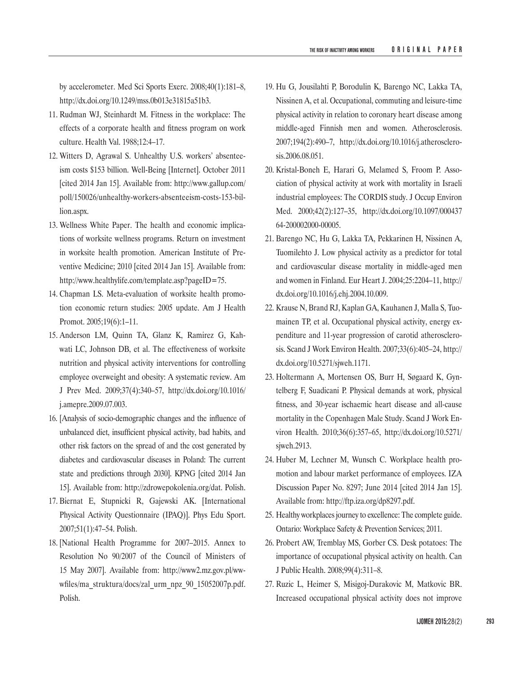by accelerometer. Med Sci Sports Exerc. 2008;40(1):181–8, <http://dx.doi.org/10.1249/mss.0b013e31815a51b3>.

- 11. Rudman WJ, Steinhardt M. Fitness in the workplace: The effects of a corporate health and fitness program on work culture. Health Val. 1988;12:4–17.
- 12. Witters D, Agrawal S. Unhealthy U.S. workers' absenteeism costs \$153 billion. Well-Being [Internet]. October 2011 [cited 2014 Jan 15]. Available from: [http://www.gallup.com/](http://www.gallup.com/poll/150026/unhealthy-workers-absenteeism-costs-153-billion.aspx) [poll/150026/unhealthy-workers-absenteeism-costs-153-bil](http://www.gallup.com/poll/150026/unhealthy-workers-absenteeism-costs-153-billion.aspx)[lion.aspx](http://www.gallup.com/poll/150026/unhealthy-workers-absenteeism-costs-153-billion.aspx).
- 13. Wellness White Paper. The health and economic implications of worksite wellness programs. Return on investment in worksite health promotion. American Institute of Preventive Medicine; 2010 [cited 2014 Jan 15]. Available from: [http://www.healthylife.com/template.asp?pageID=75.](http://www.healthylife.com/template.asp?pageID=75)
- 14. Chapman LS. Meta-evaluation of worksite health promotion economic return studies: 2005 update. Am J Health Promot. 2005;19(6):1–11.
- 15. Anderson LM, Quinn TA, Glanz K, Ramirez G, Kahwati LC, Johnson DB, et al. The effectiveness of worksite nutrition and physical activity interventions for controlling employee overweight and obesity: A systematic review. Am J Prev Med. 2009;37(4):340–57, [http://dx.doi.org/10.1016/](http://dx.doi.org/10.1016/j.amepre.2009.07.003) [j.amepre.2009.07.003](http://dx.doi.org/10.1016/j.amepre.2009.07.003).
- 16. [Analysis of socio-demographic changes and the influence of unbalanced diet, insufficient physical activity, bad habits, and other risk factors on the spread of and the cost generated by diabetes and cardiovascular diseases in Poland: The current state and predictions through 2030]. KPNG [cited 2014 Jan 15]. Available from: <http://zdrowepokolenia.org/dat>. Polish.
- 17. Biernat E, Stupnicki R, Gajewski AK. [International Physical Activity Questionnaire (IPAQ)]. Phys Edu Sport. 2007;51(1):47–54. Polish.
- 18. [National Health Programme for 2007–2015. Annex to Resolution No 90/2007 of the Council of Ministers of 15 May 2007]. Available from: [http://www2.mz.gov.pl/ww](http://www2.mz.gov.pl/wwwfiles/ma_struktura/docs/zal_urm_npz_90_15052007p.pdf)[wfiles/ma\\_struktura/docs/zal\\_urm\\_npz\\_90\\_15052007p.pdf](http://www2.mz.gov.pl/wwwfiles/ma_struktura/docs/zal_urm_npz_90_15052007p.pdf). Polish.
- 19. Hu G, Jousilahti P, Borodulin K, Barengo NC, Lakka TA, Nissinen A, et al. Occupational, commuting and leisure-time physical activity in relation to coronary heart disease among middle-aged Finnish men and women. Atherosclerosis. 2007;194(2):490–7, [http://dx.doi.org/10.1016/j.atherosclero](http://dx.doi.org/10.1016/j.atherosclerosis.2006.08.051)[sis.2006.08.051](http://dx.doi.org/10.1016/j.atherosclerosis.2006.08.051).
- 20. Kristal-Boneh E, Harari G, Melamed S, Froom P. Association of physical activity at work with mortality in Israeli industrial employees: The CORDIS study. J Occup Environ Med. 2000;42(2):127–35, [http://dx.doi.org/10.1097/000437](http://dx.doi.org/10.1097/00043764-200002000-00005) [64-200002000-00005](http://dx.doi.org/10.1097/00043764-200002000-00005).
- 21. Barengo NC, Hu G, Lakka TA, Pekkarinen H, Nissinen A, Tuomilehto J. Low physical activity as a predictor for total and cardiovascular disease mortality in middle-aged men and women in Finland. Eur Heart J. 2004;25:2204–11, [http://](http://dx.doi.org/10.1016/j.ehj.2004.10.009) [dx.doi.org/10.1016/j.ehj.2004.10.009](http://dx.doi.org/10.1016/j.ehj.2004.10.009).
- 22. Krause N, Brand RJ, Kaplan GA, Kauhanen J, Malla S, Tuomainen TP, et al. Occupational physical activity, energy expenditure and 11-year progression of carotid atherosclerosis. Scand J Work Environ Health. 2007;33(6):405–24, [http://](http://dx.doi.org/10.5271/sjweh.1171) [dx.doi.org/10.5271/sjweh.1171](http://dx.doi.org/10.5271/sjweh.1171).
- 23. Holtermann A, Mortensen OS, Burr H, Søgaard K, Gyntelberg F, Suadicani P. Physical demands at work, physical fitness, and 30-year ischaemic heart disease and all-cause mortality in the Copenhagen Male Study. Scand J Work Environ Health. 2010;36(6):357–65, [http://dx.doi.org/10.5271/](http://dx.doi.org/10.5271/sjweh.2913) [sjweh.2913](http://dx.doi.org/10.5271/sjweh.2913).
- 24. Huber M, Lechner M, Wunsch C. Workplace health promotion and labour market performance of employees. IZA Discussion Paper No. 8297; June 2014 [cited 2014 Jan 15]. Available from:<http://ftp.iza.org/dp8297.pdf>.
- 25. Healthy workplaces journey to excellence: The complete guide. Ontario: Workplace Safety & Prevention Services; 2011.
- 26. Probert AW, Tremblay MS, Gorber CS. Desk potatoes: The importance of occupational physical activity on health. Can J Public Health. 2008;99(4):311–8.
- 27. Ruzic L, Heimer S, Misigoj-Durakovic M, Matkovic BR. Increased occupational physical activity does not improve